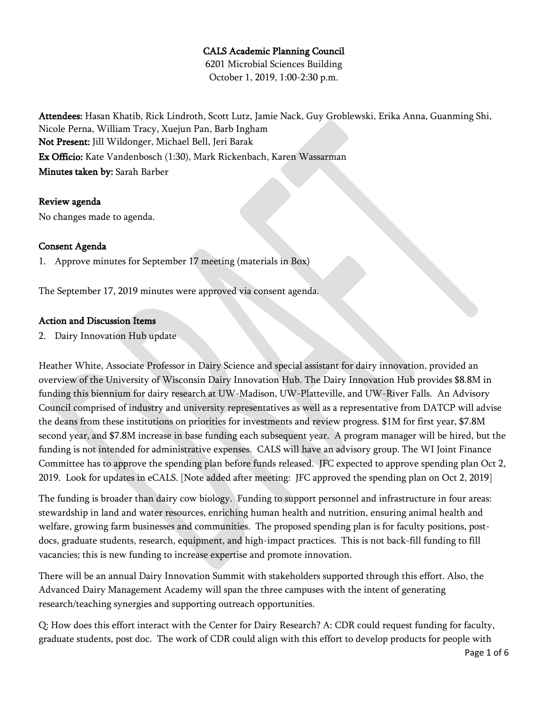## CALS Academic Planning Council

6201 Microbial Sciences Building October 1, 2019, 1:00-2:30 p.m.

Attendees: Hasan Khatib, Rick Lindroth, Scott Lutz, Jamie Nack, Guy Groblewski, Erika Anna, Guanming Shi, Nicole Perna, William Tracy, Xuejun Pan, Barb Ingham Not Present: Jill Wildonger, Michael Bell, Jeri Barak Ex Officio: Kate Vandenbosch (1:30), Mark Rickenbach, Karen Wassarman Minutes taken by: Sarah Barber

#### Review agenda

No changes made to agenda.

## Consent Agenda

1. Approve minutes for September 17 meeting (materials in Box)

The September 17, 2019 minutes were approved via consent agenda.

#### Action and Discussion Items

2. Dairy Innovation Hub update

Heather White, Associate Professor in Dairy Science and special assistant for dairy innovation, provided an overview of the University of Wisconsin Dairy Innovation Hub. The Dairy Innovation Hub provides \$8.8M in funding this biennium for dairy research at UW-Madison, UW-Platteville, and UW-River Falls. An Advisory Council comprised of industry and university representatives as well as a representative from DATCP will advise the deans from these institutions on priorities for investments and review progress. \$1M for first year, \$7.8M second year, and \$7.8M increase in base funding each subsequent year. A program manager will be hired, but the funding is not intended for administrative expenses. CALS will have an advisory group. The WI Joint Finance Committee has to approve the spending plan before funds released. JFC expected to approve spending plan Oct 2, 2019. Look for updates in eCALS. [Note added after meeting: JFC approved the spending plan on Oct 2, 2019]

The funding is broader than dairy cow biology. Funding to support personnel and infrastructure in four areas: stewardship in land and water resources, enriching human health and nutrition, ensuring animal health and welfare, growing farm businesses and communities. The proposed spending plan is for faculty positions, postdocs, graduate students, research, equipment, and high-impact practices. This is not back-fill funding to fill vacancies; this is new funding to increase expertise and promote innovation.

There will be an annual Dairy Innovation Summit with stakeholders supported through this effort. Also, the Advanced Dairy Management Academy will span the three campuses with the intent of generating research/teaching synergies and supporting outreach opportunities.

Q: How does this effort interact with the Center for Dairy Research? A: CDR could request funding for faculty, graduate students, post doc. The work of CDR could align with this effort to develop products for people with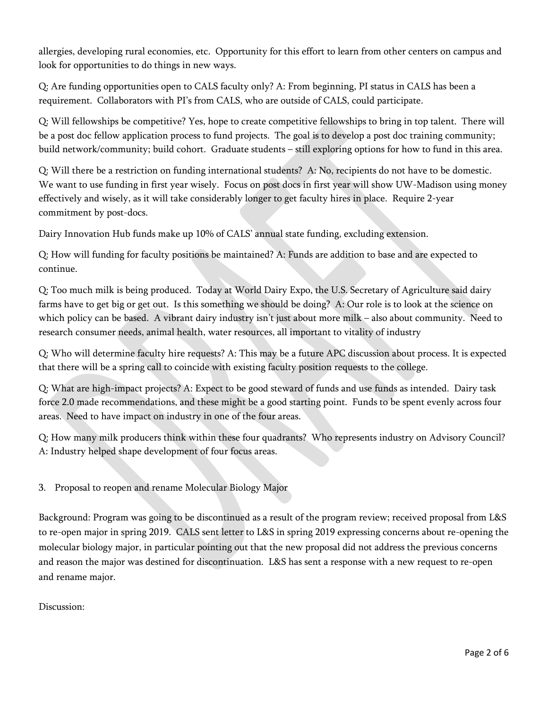allergies, developing rural economies, etc. Opportunity for this effort to learn from other centers on campus and look for opportunities to do things in new ways.

Q: Are funding opportunities open to CALS faculty only? A: From beginning, PI status in CALS has been a requirement. Collaborators with PI's from CALS, who are outside of CALS, could participate.

Q: Will fellowships be competitive? Yes, hope to create competitive fellowships to bring in top talent. There will be a post doc fellow application process to fund projects. The goal is to develop a post doc training community; build network/community; build cohort. Graduate students – still exploring options for how to fund in this area.

Q: Will there be a restriction on funding international students? A: No, recipients do not have to be domestic. We want to use funding in first year wisely. Focus on post docs in first year will show UW-Madison using money effectively and wisely, as it will take considerably longer to get faculty hires in place. Require 2-year commitment by post-docs.

Dairy Innovation Hub funds make up 10% of CALS' annual state funding, excluding extension.

Q: How will funding for faculty positions be maintained? A: Funds are addition to base and are expected to continue.

Q: Too much milk is being produced. Today at World Dairy Expo, the U.S. Secretary of Agriculture said dairy farms have to get big or get out. Is this something we should be doing? A: Our role is to look at the science on which policy can be based. A vibrant dairy industry isn't just about more milk – also about community. Need to research consumer needs, animal health, water resources, all important to vitality of industry

Q: Who will determine faculty hire requests? A: This may be a future APC discussion about process. It is expected that there will be a spring call to coincide with existing faculty position requests to the college.

Q: What are high-impact projects? A: Expect to be good steward of funds and use funds as intended. Dairy task force 2.0 made recommendations, and these might be a good starting point. Funds to be spent evenly across four areas. Need to have impact on industry in one of the four areas.

Q: How many milk producers think within these four quadrants? Who represents industry on Advisory Council? A: Industry helped shape development of four focus areas.

3. Proposal to reopen and rename Molecular Biology Major

Background: Program was going to be discontinued as a result of the program review; received proposal from L&S to re-open major in spring 2019. CALS sent letter to L&S in spring 2019 expressing concerns about re-opening the molecular biology major, in particular pointing out that the new proposal did not address the previous concerns and reason the major was destined for discontinuation. L&S has sent a response with a new request to re-open and rename major.

Discussion: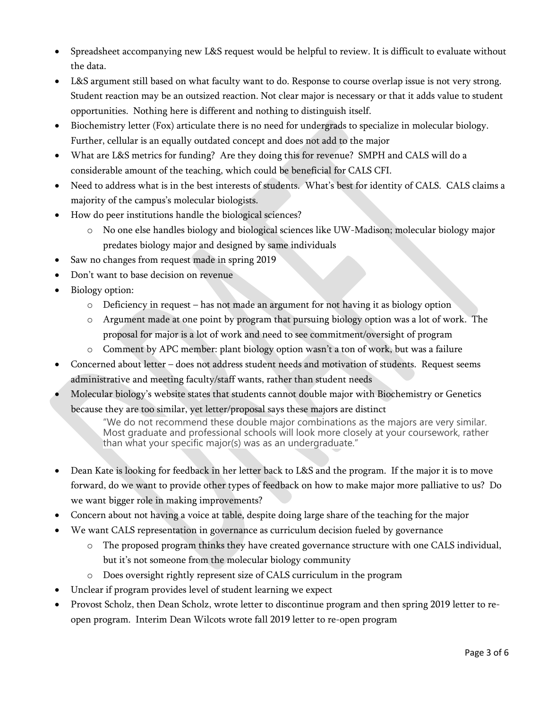- Spreadsheet accompanying new L&S request would be helpful to review. It is difficult to evaluate without the data.
- L&S argument still based on what faculty want to do. Response to course overlap issue is not very strong. Student reaction may be an outsized reaction. Not clear major is necessary or that it adds value to student opportunities. Nothing here is different and nothing to distinguish itself.
- Biochemistry letter (Fox) articulate there is no need for undergrads to specialize in molecular biology. Further, cellular is an equally outdated concept and does not add to the major
- What are L&S metrics for funding? Are they doing this for revenue? SMPH and CALS will do a considerable amount of the teaching, which could be beneficial for CALS CFI.
- Need to address what is in the best interests of students. What's best for identity of CALS. CALS claims a majority of the campus's molecular biologists.
- How do peer institutions handle the biological sciences?
	- o No one else handles biology and biological sciences like UW-Madison; molecular biology major predates biology major and designed by same individuals
- Saw no changes from request made in spring 2019
- Don't want to base decision on revenue
- Biology option:
	- o Deficiency in request has not made an argument for not having it as biology option
	- o Argument made at one point by program that pursuing biology option was a lot of work. The proposal for major is a lot of work and need to see commitment/oversight of program
	- o Comment by APC member: plant biology option wasn't a ton of work, but was a failure
- Concerned about letter does not address student needs and motivation of students. Request seems administrative and meeting faculty/staff wants, rather than student needs
- Molecular biology's website states that students cannot double major with Biochemistry or Genetics because they are too similar, yet letter/proposal says these majors are distinct

"We do not recommend these double major combinations as the majors are very similar. Most graduate and professional schools will look more closely at your coursework, rather than what your specific major(s) was as an undergraduate."

- Dean Kate is looking for feedback in her letter back to L&S and the program. If the major it is to move forward, do we want to provide other types of feedback on how to make major more palliative to us? Do we want bigger role in making improvements?
- Concern about not having a voice at table, despite doing large share of the teaching for the major
- We want CALS representation in governance as curriculum decision fueled by governance
	- o The proposed program thinks they have created governance structure with one CALS individual, but it's not someone from the molecular biology community
	- o Does oversight rightly represent size of CALS curriculum in the program
- Unclear if program provides level of student learning we expect
- Provost Scholz, then Dean Scholz, wrote letter to discontinue program and then spring 2019 letter to reopen program. Interim Dean Wilcots wrote fall 2019 letter to re-open program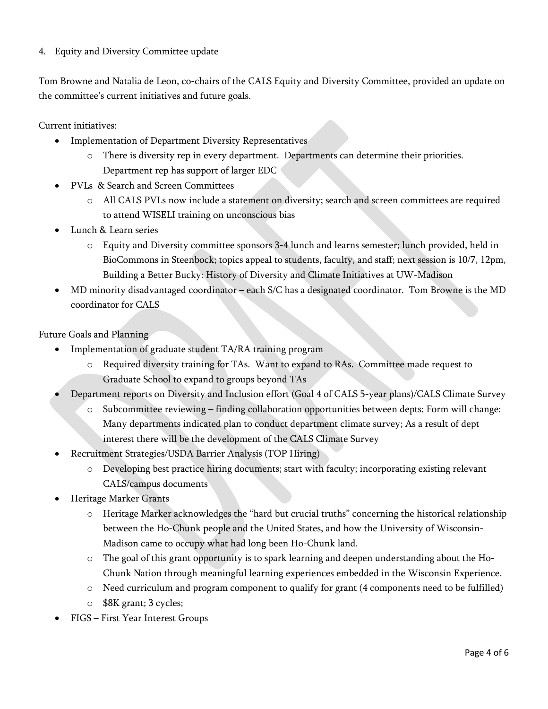## 4. Equity and Diversity Committee update

Tom Browne and Natalia de Leon, co-chairs of the CALS Equity and Diversity Committee, provided an update on the committee's current initiatives and future goals.

Current initiatives:

- Implementation of Department Diversity Representatives
	- o There is diversity rep in every department. Departments can determine their priorities. Department rep has support of larger EDC
- PVLs & Search and Screen Committees
	- o All CALS PVLs now include a statement on diversity; search and screen committees are required to attend WISELI training on unconscious bias
- Lunch & Learn series
	- o Equity and Diversity committee sponsors 3-4 lunch and learns semester; lunch provided, held in BioCommons in Steenbock; topics appeal to students, faculty, and staff; next session is 10/7, 12pm, Building a Better Bucky: History of Diversity and Climate Initiatives at UW-Madison
- MD minority disadvantaged coordinator each S/C has a designated coordinator. Tom Browne is the MD coordinator for CALS

Future Goals and Planning

- Implementation of graduate student TA/RA training program
	- o Required diversity training for TAs. Want to expand to RAs. Committee made request to Graduate School to expand to groups beyond TAs
- Department reports on Diversity and Inclusion effort (Goal 4 of CALS 5-year plans)/CALS Climate Survey
	- o Subcommittee reviewing finding collaboration opportunities between depts; Form will change: Many departments indicated plan to conduct department climate survey; As a result of dept interest there will be the development of the CALS Climate Survey
- Recruitment Strategies/USDA Barrier Analysis (TOP Hiring)
	- o Developing best practice hiring documents; start with faculty; incorporating existing relevant CALS/campus documents
- Heritage Marker Grants
	- o Heritage Marker acknowledges the "hard but crucial truths" concerning the historical relationship between the Ho-Chunk people and the United States, and how the University of Wisconsin-Madison came to occupy what had long been Ho-Chunk land.
	- o The goal of this grant opportunity is to spark learning and deepen understanding about the Ho-Chunk Nation through meaningful learning experiences embedded in the Wisconsin Experience.
	- o Need curriculum and program component to qualify for grant (4 components need to be fulfilled)
	- o \$8K grant; 3 cycles;
- FIGS First Year Interest Groups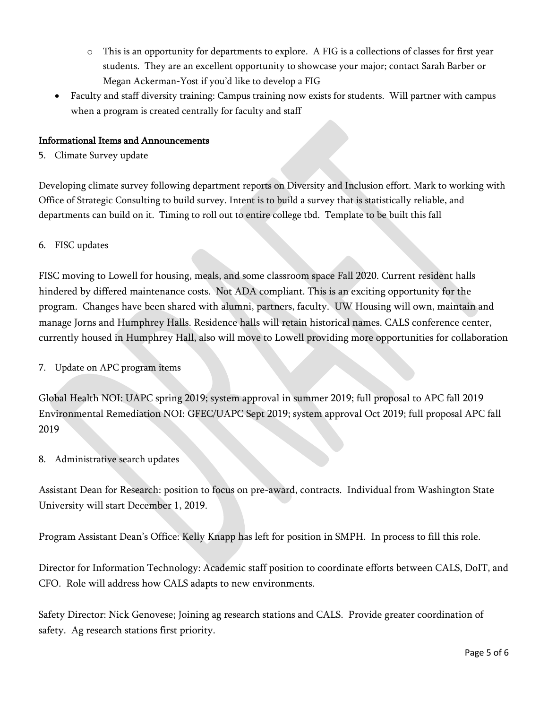- o This is an opportunity for departments to explore. A FIG is a collections of classes for first year students. They are an excellent opportunity to showcase your major; contact Sarah Barber or Megan Ackerman-Yost if you'd like to develop a FIG
- Faculty and staff diversity training: Campus training now exists for students. Will partner with campus when a program is created centrally for faculty and staff

# Informational Items and Announcements

5. Climate Survey update

Developing climate survey following department reports on Diversity and Inclusion effort. Mark to working with Office of Strategic Consulting to build survey. Intent is to build a survey that is statistically reliable, and departments can build on it. Timing to roll out to entire college tbd. Template to be built this fall

6. FISC updates

FISC moving to Lowell for housing, meals, and some classroom space Fall 2020. Current resident halls hindered by differed maintenance costs. Not ADA compliant. This is an exciting opportunity for the program. Changes have been shared with alumni, partners, faculty. UW Housing will own, maintain and manage Jorns and Humphrey Halls. Residence halls will retain historical names. CALS conference center, currently housed in Humphrey Hall, also will move to Lowell providing more opportunities for collaboration

7. Update on APC program items

Global Health NOI: UAPC spring 2019; system approval in summer 2019; full proposal to APC fall 2019 Environmental Remediation NOI: GFEC/UAPC Sept 2019; system approval Oct 2019; full proposal APC fall 2019

8. Administrative search updates

Assistant Dean for Research: position to focus on pre-award, contracts. Individual from Washington State University will start December 1, 2019.

Program Assistant Dean's Office: Kelly Knapp has left for position in SMPH. In process to fill this role.

Director for Information Technology: Academic staff position to coordinate efforts between CALS, DoIT, and CFO. Role will address how CALS adapts to new environments.

Safety Director: Nick Genovese; Joining ag research stations and CALS. Provide greater coordination of safety. Ag research stations first priority.